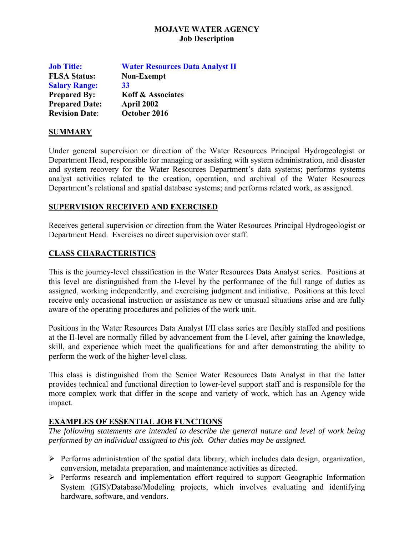### **MOJAVE WATER AGENCY Job Description**

| <b>Job Title:</b>     | <b>Water Resources Data Analyst II</b> |
|-----------------------|----------------------------------------|
| <b>FLSA Status:</b>   | <b>Non-Exempt</b>                      |
| <b>Salary Range:</b>  | 33                                     |
| <b>Prepared By:</b>   | <b>Koff &amp; Associates</b>           |
| <b>Prepared Date:</b> | April 2002                             |
| <b>Revision Date:</b> | October 2016                           |

#### **SUMMARY**

Under general supervision or direction of the Water Resources Principal Hydrogeologist or Department Head, responsible for managing or assisting with system administration, and disaster and system recovery for the Water Resources Department's data systems; performs systems analyst activities related to the creation, operation, and archival of the Water Resources Department's relational and spatial database systems; and performs related work, as assigned.

#### **SUPERVISION RECEIVED AND EXERCISED**

Receives general supervision or direction from the Water Resources Principal Hydrogeologist or Department Head. Exercises no direct supervision over staff.

### **CLASS CHARACTERISTICS**

This is the journey-level classification in the Water Resources Data Analyst series. Positions at this level are distinguished from the I-level by the performance of the full range of duties as assigned, working independently, and exercising judgment and initiative. Positions at this level receive only occasional instruction or assistance as new or unusual situations arise and are fully aware of the operating procedures and policies of the work unit.

Positions in the Water Resources Data Analyst I/II class series are flexibly staffed and positions at the II-level are normally filled by advancement from the I-level, after gaining the knowledge, skill, and experience which meet the qualifications for and after demonstrating the ability to perform the work of the higher-level class.

This class is distinguished from the Senior Water Resources Data Analyst in that the latter provides technical and functional direction to lower-level support staff and is responsible for the more complex work that differ in the scope and variety of work, which has an Agency wide impact.

## **EXAMPLES OF ESSENTIAL JOB FUNCTIONS**

*The following statements are intended to describe the general nature and level of work being performed by an individual assigned to this job. Other duties may be assigned.* 

- $\triangleright$  Performs administration of the spatial data library, which includes data design, organization, conversion, metadata preparation, and maintenance activities as directed.
- $\triangleright$  Performs research and implementation effort required to support Geographic Information System (GIS)/Database/Modeling projects, which involves evaluating and identifying hardware, software, and vendors.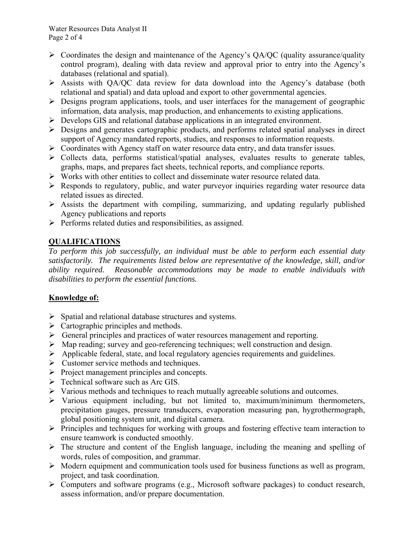- $\triangleright$  Coordinates the design and maintenance of the Agency's QA/QC (quality assurance/quality control program), dealing with data review and approval prior to entry into the Agency's databases (relational and spatial).
- Assists with QA/QC data review for data download into the Agency's database (both relational and spatial) and data upload and export to other governmental agencies.
- $\triangleright$  Designs program applications, tools, and user interfaces for the management of geographic information, data analysis, map production, and enhancements to existing applications.
- Develops GIS and relational database applications in an integrated environment.
- $\triangleright$  Designs and generates cartographic products, and performs related spatial analyses in direct support of Agency mandated reports, studies, and responses to information requests.
- Coordinates with Agency staff on water resource data entry, and data transfer issues.
- $\triangleright$  Collects data, performs statistical/spatial analyses, evaluates results to generate tables, graphs, maps, and prepares fact sheets, technical reports, and compliance reports.
- $\triangleright$  Works with other entities to collect and disseminate water resource related data.
- Responds to regulatory, public, and water purveyor inquiries regarding water resource data related issues as directed.
- $\triangleright$  Assists the department with compiling, summarizing, and updating regularly published Agency publications and reports
- $\triangleright$  Performs related duties and responsibilities, as assigned.

# **QUALIFICATIONS**

*To perform this job successfully, an individual must be able to perform each essential duty satisfactorily. The requirements listed below are representative of the knowledge, skill, and/or ability required. Reasonable accommodations may be made to enable individuals with disabilities to perform the essential functions.* 

# **Knowledge of:**

- $\triangleright$  Spatial and relational database structures and systems.
- $\triangleright$  Cartographic principles and methods.
- General principles and practices of water resources management and reporting.
- $\triangleright$  Map reading; survey and geo-referencing techniques; well construction and design.
- Applicable federal, state, and local regulatory agencies requirements and guidelines.
- $\triangleright$  Customer service methods and techniques.
- $\triangleright$  Project management principles and concepts.
- $\triangleright$  Technical software such as Arc GIS.
- Various methods and techniques to reach mutually agreeable solutions and outcomes.
- $\triangleright$  Various equipment including, but not limited to, maximum/minimum thermometers, precipitation gauges, pressure transducers, evaporation measuring pan, hygrothermograph, global positioning system unit, and digital camera.
- $\triangleright$  Principles and techniques for working with groups and fostering effective team interaction to ensure teamwork is conducted smoothly.
- $\triangleright$  The structure and content of the English language, including the meaning and spelling of words, rules of composition, and grammar.
- $\triangleright$  Modern equipment and communication tools used for business functions as well as program, project, and task coordination.
- $\triangleright$  Computers and software programs (e.g., Microsoft software packages) to conduct research, assess information, and/or prepare documentation.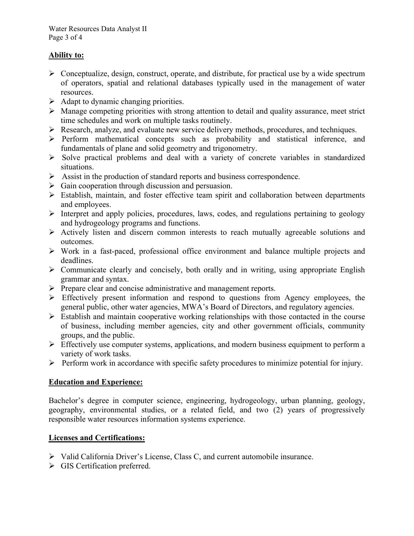Water Resources Data Analyst II Page 3 of 4

## **Ability to:**

- $\triangleright$  Conceptualize, design, construct, operate, and distribute, for practical use by a wide spectrum of operators, spatial and relational databases typically used in the management of water resources.
- $\triangleright$  Adapt to dynamic changing priorities.
- $\triangleright$  Manage competing priorities with strong attention to detail and quality assurance, meet strict time schedules and work on multiple tasks routinely.
- Research, analyze, and evaluate new service delivery methods, procedures, and techniques.
- $\triangleright$  Perform mathematical concepts such as probability and statistical inference, and fundamentals of plane and solid geometry and trigonometry.
- $\triangleright$  Solve practical problems and deal with a variety of concrete variables in standardized situations.
- $\triangleright$  Assist in the production of standard reports and business correspondence.
- $\triangleright$  Gain cooperation through discussion and persuasion.
- Establish, maintain, and foster effective team spirit and collaboration between departments and employees.
- $\triangleright$  Interpret and apply policies, procedures, laws, codes, and regulations pertaining to geology and hydrogeology programs and functions.
- $\triangleright$  Actively listen and discern common interests to reach mutually agreeable solutions and outcomes.
- $\triangleright$  Work in a fast-paced, professional office environment and balance multiple projects and deadlines.
- $\triangleright$  Communicate clearly and concisely, both orally and in writing, using appropriate English grammar and syntax.
- $\triangleright$  Prepare clear and concise administrative and management reports.
- $\triangleright$  Effectively present information and respond to questions from Agency employees, the general public, other water agencies, MWA's Board of Directors, and regulatory agencies.
- $\triangleright$  Establish and maintain cooperative working relationships with those contacted in the course of business, including member agencies, city and other government officials, community groups, and the public.
- $\triangleright$  Effectively use computer systems, applications, and modern business equipment to perform a variety of work tasks.
- $\triangleright$  Perform work in accordance with specific safety procedures to minimize potential for injury.

# **Education and Experience:**

Bachelor's degree in computer science, engineering, hydrogeology, urban planning, geology, geography, environmental studies, or a related field, and two (2) years of progressively responsible water resources information systems experience.

## **Licenses and Certifications:**

- $\triangleright$  Valid California Driver's License, Class C, and current automobile insurance.
- $\triangleright$  GIS Certification preferred.